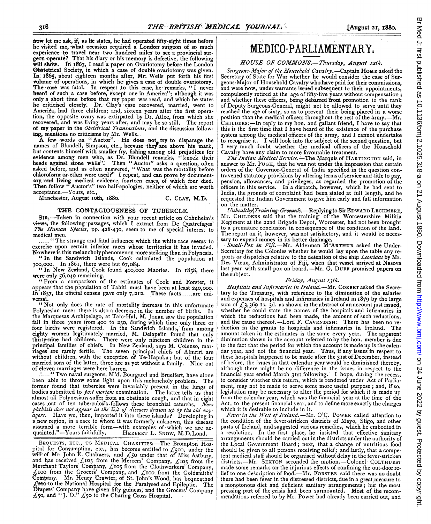now let me ask, if, as he states, he had operated fifty-eight times before he visited me, what occasion required a London- surgeon of so much experience to travel near two hundred miles to see a provincial sur-<br>geon operate? That his diary or his memory is defective, the following will show. In 1863, I read a paper on Ovariotomy before the London Obstetrical Society, in which a case of double ovariotomy was given. In. 1865, about eighteen months after, Mr. Wells put forth his first volume of operations, in which he gives a case of double ovariotomy.<br>The case was fatal. In respect to this case, he remarks, "I never heard of such a case before, except one in America"; although it was only <sup>a</sup> short time before that my paper was read, and which he states he criticised closely. Dr. Clay's case recovered, married, went to America, had three children; and, sixteen years after the first operation, the opposite ovary was extirpated by Dr. Atlee, from which she recovered, and was living years after, and may be so still. The report of my paper in the Obstetrical Transactions, and the discussion following, mentions no criticisms by Mr. Wells.

A few words on "Auctor". He does not try to disparage the names of Blundell, Simpson, etc., because they are above his mark, but contents himself with smaller fry, fishing among old prejudices for<br>evidence among men who, as Dr. Blundell remarks, "knock their<br>heads against stone walls". Then "Auctor" asks a question, often<br>asked before, and as of chloroform or ether were used?" <sup>I</sup> repeat, and can prove by documentary. and living medical evidence, fourteen cases, of which four died. Then follow " Auctor's" two half-apologies, neither of which are worth acceptance.-Yours, etc.,

Manchester, August roth, 1880. C. CLAY, M.D.

### THE CONTAGIOUSNESS OF TUBERCLE.

SIR,-Taken in connection with your recent article on Cohnheim's views, the following passages, which <sup>I</sup> extract from De Quatrefages' The Human Species, pp. 428-430, seem to me of special interest to

medical men.<br>...... "The strange and fatal influence which the white race seems to exercise upon certain inferior races whose territories it has invaded. Nowhere is this rnelancholyphenomenon more striking than in Polynesia.

"In the Sandwich Islands, Cook calculated the population at

300,000. In i86i, there were but 67,084. " In New Zealand, Cook found 400,000 Maories. In I858, there were only 56,o49 remaining.

"From <sup>a</sup> comparison of the estimates of Cook and Forster, it appears that the population of Tahiti must have been at least 240,000. In I857, the official census gave only 7,212. These facts...... are universal.

"Not only does the rate of mortality increase in this unfortunate Polynesian race; there is also a decrease in the number of births. In the Marquesas Archipelago, at Taio-Hal, M. Jonan saw the population fall in three years from 400 to 250,. during which time only three or four births were registered. In the Sandwich Islands, from among eighty women legitimately married, M. Delapelin found that only thirty-nine had children. There were only nineteen children in the principal families of chiefs. In New Zealand, says M. Colenso, mar-riages are rarely fertile. The seven principal chiefs of Almriri are without children, with the exception of Te-Hapuku; but of the four married sons of the latter, three are as yet without a family. Nine out of eleven marriages were here barren.

...... " Two naval surgeons, MM. Bourgarel and Bruelfert, have alone been able to throw some light upon this melancholy problem. The former found that tubercles were invariably present in the lungs of bodies submitted to post mortem examination. The latter tells us that almost all Polynesians suffer from an obstinate cough, and that in eight cases out of ten tuberculosis follows these bronchial catarrhs. Now phthisis does not appear in the list of diseases drawn up by the old voy-<br>agers. Have we, then, imported it into these islands? Developing in a new region, in a race to whom it was formerly unknown, this disease assumed a more terrible form—with examples of which we are ac-<br>quainted."—Yours faithfully, HERBERT L. SNOW, M.D.Lond.

BEQUESTS, ETC., TO MEDICAL CHARITIES;-The Brompton Hospital for Consumption, etc., has become entitled to  $\mathcal{L}_5$ 00, under the will of Mr. John E. Chalmers, and £50 under that of Miss Astbury,<br>and has received £105 from the Mercers' Company, £105 from the<br>Merchant Taylors' Company, £105 from the Clothworkers' Company,<br>£100 from the Grocers' Compan  $E$ 200 to the National Hospital for the Paralysed and Epileptic. The Dirapets' Company have' given fifty guineas, and the Grocers' Company £5o, and "J. 0-" £50 to the Charing Cross Hospital.

# MEDICO-PARLIAMENTARY,

### HOUSE OF COMMONS.-Thursday, August 12th.

Surgeons-Major of the Household Cavalry.-Captain HOME asked the Secretary of State for War whether he would consider the case of Surgeons-Major of Household Cavalry who have paid for their commissions, and were now, under warrants issued subsequent to their appointments, compulsorily retired at the age of fifty-five years without compensation ;<br>and whether these officers, being debarred'from promotion to the rank of Deputy Surgeons-General, might not be allowed to serve until they reached the age of sixty, so as to prevent their being placed in a worse position than the medical officers throughout the rest of the army.--Mr. CHILDERS:-In reply to my hon. and gallant friend, I have to say that this is the first time that <sup>I</sup> have heard of the existence of the purchase system among the medical officers of the army, and <sup>I</sup> cannot undertake to recognise it. I will look into the subject of the second question, but <sup>I</sup> very much doubt whether the medical officers of the Household Cavalry have any claim to more favourable treatment.

The Indian Medical Service.-The Marquis of HARTINGTON said, in answer to Mr. PUGH, that he was not under the impression that certain orders of the Governor-General of India specified in the question contravened statutory provisions by altering terms of service and title to pay, pension, allowances, and privileges, as regarded the promotion of the<br>officers in this service. In a dispatch, however, which he had sent to India, the grounds of complaint had been stated at full length, and he requested the Indian Government to give him early and full information on the matter.

Unhealthy\Training-Grounds.-Replying to Sir EDWARD LECHMERE, Mr. CIIILDERS said that the training of'the Worcestershire Militia Regiment at the 22nd Brigade Depot, Worcester, had not been brought to a premature conclusion in consequence of the condition of the land. The report on it, however, was not satisfactory, and it would be necessary to expend money in its better drainage.

Small-Pox in Fiji.-Mr. Alderman M'ARTHUR asked the Under-Secretary for the Colonies whether he would lay upon the table any reports or dispatches relative to the detention of the ship Leonidas by Mr. Des Vceux, Administrator of Fiji, when that vessel arrived at Nasova last year with small-pox on board.-Mr. G. DUFF promised papers on the subject.

### Friday, Aagust 13t/h.

Hospitals and Infirmaries in Ireland. - Mr. CORBET asked the Secretary to the Treasury, with reference to the diminution of the salaries and expenses of hospitals and infirmaries in Ireland in 1879 by the large sum of  $\angle$ 3,369 Is. 3d. as shown in the abstract of an account just issued, whether he could state the names of the hospitals and infirmaries in which the reductions had been made, the amount of such reductions, and the cause thereof.-Lord F. CAVENDISH: There has been no reduction in the grants to hospitals and infirmaries in Ireland. The amount taken in the estimates is the same every year. The apparent diminution shown in the account referred to by the hon. member is due to the fact that the period for which the account is made up is the calendar year, and not the financial year. Thus, if any issues in respect to these hospitals happened to be made after the 31st of December, instead of before, the issues in that calendar year would be diminished thereby, although there might be no difference in the issues in respect to the financial year ended March 31st following. I hope, during the recess, to consider whether this return, which is rendered under Act of Parliament, may not be made to serve some more useful purpose ; and, if so, legislation may be necessary to alter the period for which it is made up from the calendar year, which was the financial year at the time of the Act, to the present financial year, and to define more exactly the charges

which it is desirable to include in it.<br>Fever in the West of Ireland.—Mr. O'C. POWER called attention to the condition of the fever-stricken districts of Mayo, Sligo, and other parts of Ireland, and suggested various remedies, which he embodied in a resolution. In the first place, he insisted that effective sanitary arrangements should be carried out in the districts under the authority of the Local Government Board; next, that a change of nutritious food should be given to all persons receiving relief; and lastly, that a competent medical staff should be organised without delay in the fever-stricken districts.-Mr. SEXTON seconded the motion.-Colonel COLTHURST made some remarks on the injurious effects of confining the out-door relief to one description of food.--Mr. FORSTER said there was no doubt there had been fever in the distressed districts, due in a great measure to a monotonous diet and deficient sanitary arrangements; but the most pressing part of the crisis had been surmounted. Most of the recommendations referred to by Mr. Power had already been carried out, and